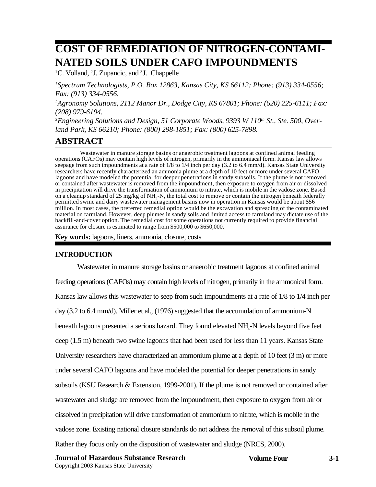# **COST OF REMEDIATION OF NITROGEN-CONTAMI-NATED SOILS UNDER CAFO IMPOUNDMENTS**

<sup>1</sup>C. Volland, <sup>2</sup>J. Zupancic, and <sup>3</sup>J. Chappelle

*1 Spectrum Technologists, P.O. Box 12863, Kansas City, KS 66112; Phone: (913) 334-0556; Fax: (913) 334-0556.*

*2Agronomy Solutions, 2112 Manor Dr., Dodge City, KS 67801; Phone: (620) 225-6111; Fax: (208) 979-6194.*

<sup>3</sup> Engineering Solutions and Design, 51 Corporate Woods, 9393 W 110<sup>th</sup> St., Ste. 500, Over*land Park, KS 66210; Phone: (800) 298-1851; Fax: (800) 625-7898.*

# **ABSTRACT**

Wastewater in manure storage basins or anaerobic treatment lagoons at confined animal feeding operations (CAFOs) may contain high levels of nitrogen, primarily in the ammoniacal form. Kansas law allows seepage from such impoundments at a rate of 1/8 to 1/4 inch per day (3.2 to 6.4 mm/d). Kansas State University researchers have recently characterized an ammonia plume at a depth of 10 feet or more under several CAFO lagoons and have modeled the potential for deeper penetrations in sandy subsoils. If the plume is not removed or contained after wastewater is removed from the impoundment, then exposure to oxygen from air or dissolved in precipitation will drive the transformation of ammonium to nitrate, which is mobile in the vadose zone. Based on a cleanup standard of 25 mg/kg of NH<sub>4</sub>-N, the total cost to remove or contain the nitrogen beneath federally permitted swine and dairy wastewater management basins now in operation in Kansas would be about \$56 million. In most cases, the preferred remedial option would be the excavation and spreading of the contaminated material on farmland. However, deep plumes in sandy soils and limited access to farmland may dictate use of the backfill-and-cover option. The remedial cost for some operations not currently required to provide financial assurance for closure is estimated to range from \$500,000 to \$650,000.

**Key words:** lagoons, liners, ammonia, closure, costs

#### **INTRODUCTION**

Wastewater in manure storage basins or anaerobic treatment lagoons at confined animal feeding operations (CAFOs) may contain high levels of nitrogen, primarily in the ammonical form. Kansas law allows this wastewater to seep from such impoundments at a rate of 1/8 to 1/4 inch per day (3.2 to 6.4 mm/d). Miller et al., (1976) suggested that the accumulation of ammonium-N beneath lagoons presented a serious hazard. They found elevated NH<sub>4</sub>-N levels beyond five feet deep (1.5 m) beneath two swine lagoons that had been used for less than 11 years. Kansas State University researchers have characterized an ammonium plume at a depth of 10 feet (3 m) or more under several CAFO lagoons and have modeled the potential for deeper penetrations in sandy subsoils (KSU Research & Extension, 1999-2001). If the plume is not removed or contained after wastewater and sludge are removed from the impoundment, then exposure to oxygen from air or dissolved in precipitation will drive transformation of ammonium to nitrate, which is mobile in the vadose zone. Existing national closure standards do not address the removal of this subsoil plume. Rather they focus only on the disposition of wastewater and sludge (NRCS, 2000).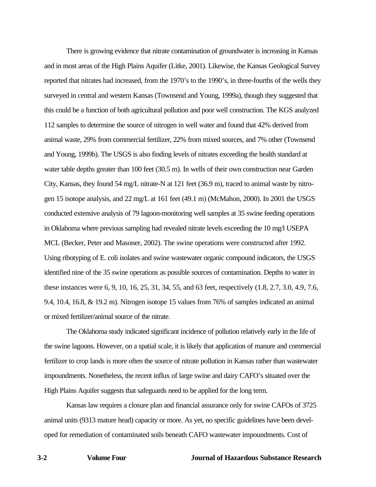There is growing evidence that nitrate contamination of groundwater is increasing in Kansas and in most areas of the High Plains Aquifer (Litke, 2001). Likewise, the Kansas Geological Survey reported that nitrates had increased, from the 1970's to the 1990's, in three-fourths of the wells they surveyed in central and western Kansas (Townsend and Young, 1999a), though they suggested that this could be a function of both agricultural pollution and poor well construction. The KGS analyzed 112 samples to determine the source of nitrogen in well water and found that 42% derived from animal waste, 29% from commercial fertilizer, 22% from mixed sources, and 7% other (Townsend and Young, 1999b). The USGS is also finding levels of nitrates exceeding the health standard at water table depths greater than 100 feet (30.5 m). In wells of their own construction near Garden City, Kansas, they found 54 mg/L nitrate-N at 121 feet (36.9 m), traced to animal waste by nitrogen 15 isotope analysis, and 22 mg/L at 161 feet (49.1 m) (McMahon, 2000). In 2001 the USGS conducted extensive analysis of 79 lagoon-monitoring well samples at 35 swine feeding operations in Oklahoma where previous sampling had revealed nitrate levels exceeding the 10 mg/l USEPA MCL (Becker, Peter and Masoner, 2002). The swine operations were constructed after 1992. Using ribotyping of E. coli isolates and swine wastewater organic compound indicators, the USGS identified nine of the 35 swine operations as possible sources of contamination. Depths to water in these instances were 6, 9, 10, 16, 25, 31, 34, 55, and 63 feet, respectively (1.8, 2.7, 3.0, 4.9, 7.6, 9.4, 10.4, 16.8, & 19.2 m). Nitrogen isotope 15 values from 76% of samples indicated an animal or mixed fertilizer/animal source of the nitrate.

The Oklahoma study indicated significant incidence of pollution relatively early in the life of the swine lagoons. However, on a spatial scale, it is likely that application of manure and commercial fertilizer to crop lands is more often the source of nitrate pollution in Kansas rather than wastewater impoundments. Nonetheless, the recent influx of large swine and dairy CAFO's situated over the High Plains Aquifer suggests that safeguards need to be applied for the long term.

Kansas law requires a closure plan and financial assurance only for swine CAFOs of 3725 animal units (9313 mature head) capacity or more. As yet, no specific guidelines have been developed for remediation of contaminated soils beneath CAFO wastewater impoundments. Cost of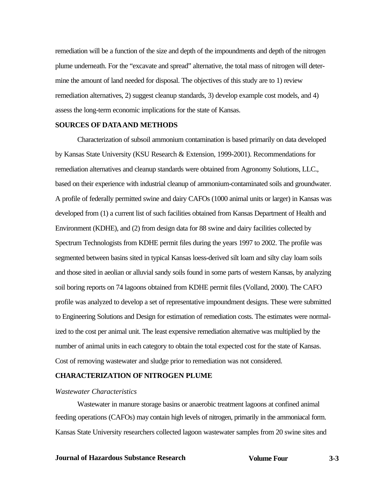remediation will be a function of the size and depth of the impoundments and depth of the nitrogen plume underneath. For the "excavate and spread" alternative, the total mass of nitrogen will determine the amount of land needed for disposal. The objectives of this study are to 1) review remediation alternatives, 2) suggest cleanup standards, 3) develop example cost models, and 4) assess the long-term economic implications for the state of Kansas.

#### **SOURCES OF DATAAND METHODS**

Characterization of subsoil ammonium contamination is based primarily on data developed by Kansas State University (KSU Research & Extension, 1999-2001). Recommendations for remediation alternatives and cleanup standards were obtained from Agronomy Solutions, LLC., based on their experience with industrial cleanup of ammonium-contaminated soils and groundwater. A profile of federally permitted swine and dairy CAFOs (1000 animal units or larger) in Kansas was developed from (1) a current list of such facilities obtained from Kansas Department of Health and Environment (KDHE), and (2) from design data for 88 swine and dairy facilities collected by Spectrum Technologists from KDHE permit files during the years 1997 to 2002. The profile was segmented between basins sited in typical Kansas loess-derived silt loam and silty clay loam soils and those sited in aeolian or alluvial sandy soils found in some parts of western Kansas, by analyzing soil boring reports on 74 lagoons obtained from KDHE permit files (Volland, 2000). The CAFO profile was analyzed to develop a set of representative impoundment designs. These were submitted to Engineering Solutions and Design for estimation of remediation costs. The estimates were normalized to the cost per animal unit. The least expensive remediation alternative was multiplied by the number of animal units in each category to obtain the total expected cost for the state of Kansas. Cost of removing wastewater and sludge prior to remediation was not considered.

## **CHARACTERIZATION OF NITROGEN PLUME**

#### *Wastewater Characteristics*

Wastewater in manure storage basins or anaerobic treatment lagoons at confined animal feeding operations (CAFOs) may contain high levels of nitrogen, primarily in the ammoniacal form. Kansas State University researchers collected lagoon wastewater samples from 20 swine sites and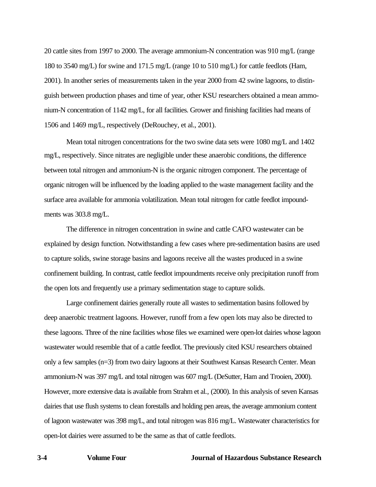20 cattle sites from 1997 to 2000. The average ammonium-N concentration was 910 mg/L (range 180 to 3540 mg/L) for swine and 171.5 mg/L (range 10 to 510 mg/L) for cattle feedlots (Ham, 2001). In another series of measurements taken in the year 2000 from 42 swine lagoons, to distinguish between production phases and time of year, other KSU researchers obtained a mean ammonium-N concentration of 1142 mg/L, for all facilities. Grower and finishing facilities had means of 1506 and 1469 mg/L, respectively (DeRouchey, et al., 2001).

Mean total nitrogen concentrations for the two swine data sets were 1080 mg/L and 1402 mg/L, respectively. Since nitrates are negligible under these anaerobic conditions, the difference between total nitrogen and ammonium-N is the organic nitrogen component. The percentage of organic nitrogen will be influenced by the loading applied to the waste management facility and the surface area available for ammonia volatilization. Mean total nitrogen for cattle feedlot impoundments was 303.8 mg/L.

The difference in nitrogen concentration in swine and cattle CAFO wastewater can be explained by design function. Notwithstanding a few cases where pre-sedimentation basins are used to capture solids, swine storage basins and lagoons receive all the wastes produced in a swine confinement building. In contrast, cattle feedlot impoundments receive only precipitation runoff from the open lots and frequently use a primary sedimentation stage to capture solids.

Large confinement dairies generally route all wastes to sedimentation basins followed by deep anaerobic treatment lagoons. However, runoff from a few open lots may also be directed to these lagoons. Three of the nine facilities whose files we examined were open-lot dairies whose lagoon wastewater would resemble that of a cattle feedlot. The previously cited KSU researchers obtained only a few samples (n=3) from two dairy lagoons at their Southwest Kansas Research Center. Mean ammonium-N was 397 mg/L and total nitrogen was 607 mg/L (DeSutter, Ham and Trooien, 2000). However, more extensive data is available from Strahm et al., (2000). In this analysis of seven Kansas dairies that use flush systems to clean forestalls and holding pen areas, the average ammonium content of lagoon wastewater was 398 mg/L, and total nitrogen was 816 mg/L. Wastewater characteristics for open-lot dairies were assumed to be the same as that of cattle feedlots.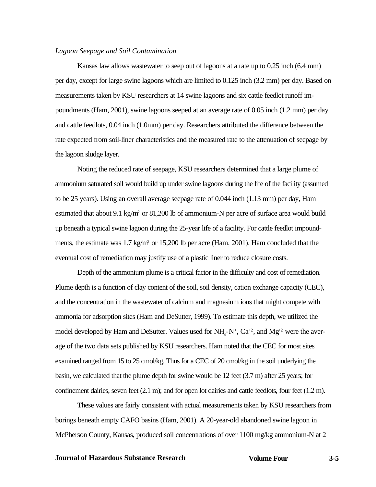#### *Lagoon Seepage and Soil Contamination*

Kansas law allows wastewater to seep out of lagoons at a rate up to 0.25 inch (6.4 mm) per day, except for large swine lagoons which are limited to 0.125 inch (3.2 mm) per day. Based on measurements taken by KSU researchers at 14 swine lagoons and six cattle feedlot runoff impoundments (Ham, 2001), swine lagoons seeped at an average rate of 0.05 inch (1.2 mm) per day and cattle feedlots, 0.04 inch (1.0mm) per day. Researchers attributed the difference between the rate expected from soil-liner characteristics and the measured rate to the attenuation of seepage by the lagoon sludge layer.

Noting the reduced rate of seepage, KSU researchers determined that a large plume of ammonium saturated soil would build up under swine lagoons during the life of the facility (assumed to be 25 years). Using an overall average seepage rate of 0.044 inch (1.13 mm) per day, Ham estimated that about 9.1 kg/m<sup>2</sup> or 81,200 lb of ammonium-N per acre of surface area would build up beneath a typical swine lagoon during the 25-year life of a facility. For cattle feedlot impoundments, the estimate was 1.7 kg/m<sup>2</sup> or 15,200 lb per acre (Ham, 2001). Ham concluded that the eventual cost of remediation may justify use of a plastic liner to reduce closure costs.

Depth of the ammonium plume is a critical factor in the difficulty and cost of remediation. Plume depth is a function of clay content of the soil, soil density, cation exchange capacity (CEC), and the concentration in the wastewater of calcium and magnesium ions that might compete with ammonia for adsorption sites (Ham and DeSutter, 1999). To estimate this depth, we utilized the model developed by Ham and DeSutter. Values used for  $NH<sub>4</sub>-N<sup>+</sup>, Ca<sup>+2</sup>, and Mg<sup>+2</sup>$  were the average of the two data sets published by KSU researchers. Ham noted that the CEC for most sites examined ranged from 15 to 25 cmol/kg. Thus for a CEC of 20 cmol/kg in the soil underlying the basin, we calculated that the plume depth for swine would be 12 feet (3.7 m) after 25 years; for confinement dairies, seven feet (2.1 m); and for open lot dairies and cattle feedlots, four feet (1.2 m).

These values are fairly consistent with actual measurements taken by KSU researchers from borings beneath empty CAFO basins (Ham, 2001). A 20-year-old abandoned swine lagoon in McPherson County, Kansas, produced soil concentrations of over 1100 mg/kg ammonium-N at 2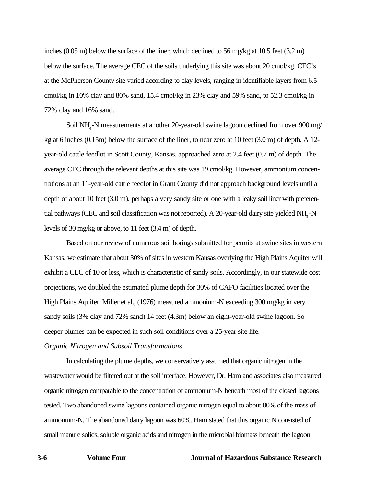inches (0.05 m) below the surface of the liner, which declined to 56 mg/kg at 10.5 feet (3.2 m) below the surface. The average CEC of the soils underlying this site was about 20 cmol/kg. CEC's at the McPherson County site varied according to clay levels, ranging in identifiable layers from 6.5 cmol/kg in 10% clay and 80% sand, 15.4 cmol/kg in 23% clay and 59% sand, to 52.3 cmol/kg in 72% clay and 16% sand.

Soil NH<sub>4</sub>-N measurements at another 20-year-old swine lagoon declined from over 900 mg/ kg at 6 inches (0.15m) below the surface of the liner, to near zero at 10 feet (3.0 m) of depth. A 12 year-old cattle feedlot in Scott County, Kansas, approached zero at 2.4 feet (0.7 m) of depth. The average CEC through the relevant depths at this site was 19 cmol/kg. However, ammonium concentrations at an 11-year-old cattle feedlot in Grant County did not approach background levels until a depth of about 10 feet (3.0 m), perhaps a very sandy site or one with a leaky soil liner with preferential pathways (CEC and soil classification was not reported). A 20-year-old dairy site yielded NH<sub>4</sub>-N levels of 30 mg/kg or above, to 11 feet (3.4 m) of depth.

Based on our review of numerous soil borings submitted for permits at swine sites in western Kansas, we estimate that about 30% of sites in western Kansas overlying the High Plains Aquifer will exhibit a CEC of 10 or less, which is characteristic of sandy soils. Accordingly, in our statewide cost projections, we doubled the estimated plume depth for 30% of CAFO facilities located over the High Plains Aquifer. Miller et al., (1976) measured ammonium-N exceeding 300 mg/kg in very sandy soils (3% clay and 72% sand) 14 feet (4.3m) below an eight-year-old swine lagoon. So deeper plumes can be expected in such soil conditions over a 25-year site life.

## *Organic Nitrogen and Subsoil Transformations*

In calculating the plume depths, we conservatively assumed that organic nitrogen in the wastewater would be filtered out at the soil interface. However, Dr. Ham and associates also measured organic nitrogen comparable to the concentration of ammonium-N beneath most of the closed lagoons tested. Two abandoned swine lagoons contained organic nitrogen equal to about 80% of the mass of ammonium-N. The abandoned dairy lagoon was 60%. Ham stated that this organic N consisted of small manure solids, soluble organic acids and nitrogen in the microbial biomass beneath the lagoon.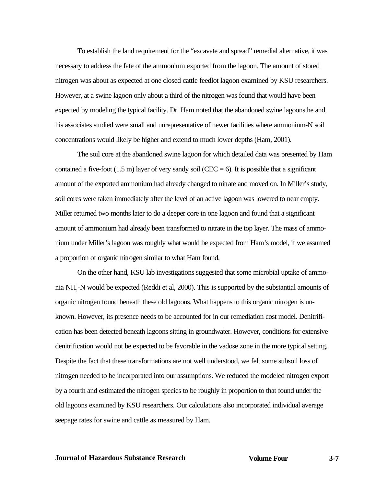To establish the land requirement for the "excavate and spread" remedial alternative, it was necessary to address the fate of the ammonium exported from the lagoon. The amount of stored nitrogen was about as expected at one closed cattle feedlot lagoon examined by KSU researchers. However, at a swine lagoon only about a third of the nitrogen was found that would have been expected by modeling the typical facility. Dr. Ham noted that the abandoned swine lagoons he and his associates studied were small and unrepresentative of newer facilities where ammonium-N soil concentrations would likely be higher and extend to much lower depths (Ham, 2001).

The soil core at the abandoned swine lagoon for which detailed data was presented by Ham contained a five-foot  $(1.5 \text{ m})$  layer of very sandy soil  $(CEC = 6)$ . It is possible that a significant amount of the exported ammonium had already changed to nitrate and moved on. In Miller's study, soil cores were taken immediately after the level of an active lagoon was lowered to near empty. Miller returned two months later to do a deeper core in one lagoon and found that a significant amount of ammonium had already been transformed to nitrate in the top layer. The mass of ammonium under Miller's lagoon was roughly what would be expected from Ham's model, if we assumed a proportion of organic nitrogen similar to what Ham found.

On the other hand, KSU lab investigations suggested that some microbial uptake of ammonia NH4-N would be expected (Reddi et al, 2000). This is supported by the substantial amounts of organic nitrogen found beneath these old lagoons. What happens to this organic nitrogen is unknown. However, its presence needs to be accounted for in our remediation cost model. Denitrification has been detected beneath lagoons sitting in groundwater. However, conditions for extensive denitrification would not be expected to be favorable in the vadose zone in the more typical setting. Despite the fact that these transformations are not well understood, we felt some subsoil loss of nitrogen needed to be incorporated into our assumptions. We reduced the modeled nitrogen export by a fourth and estimated the nitrogen species to be roughly in proportion to that found under the old lagoons examined by KSU researchers. Our calculations also incorporated individual average seepage rates for swine and cattle as measured by Ham.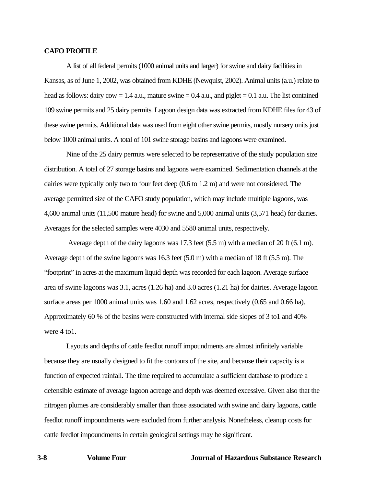#### **CAFO PROFILE**

A list of all federal permits (1000 animal units and larger) for swine and dairy facilities in Kansas, as of June 1, 2002, was obtained from KDHE (Newquist, 2002). Animal units (a.u.) relate to head as follows: dairy  $\text{row} = 1.4$  a.u., mature swine  $= 0.4$  a.u., and piglet  $= 0.1$  a.u. The list contained 109 swine permits and 25 dairy permits. Lagoon design data was extracted from KDHE files for 43 of these swine permits. Additional data was used from eight other swine permits, mostly nursery units just below 1000 animal units. A total of 101 swine storage basins and lagoons were examined.

Nine of the 25 dairy permits were selected to be representative of the study population size distribution. A total of 27 storage basins and lagoons were examined. Sedimentation channels at the dairies were typically only two to four feet deep (0.6 to 1.2 m) and were not considered. The average permitted size of the CAFO study population, which may include multiple lagoons, was 4,600 animal units (11,500 mature head) for swine and 5,000 animal units (3,571 head) for dairies. Averages for the selected samples were 4030 and 5580 animal units, respectively.

Average depth of the dairy lagoons was 17.3 feet (5.5 m) with a median of 20 ft (6.1 m). Average depth of the swine lagoons was 16.3 feet (5.0 m) with a median of 18 ft (5.5 m). The "footprint" in acres at the maximum liquid depth was recorded for each lagoon. Average surface area of swine lagoons was 3.1, acres (1.26 ha) and 3.0 acres (1.21 ha) for dairies. Average lagoon surface areas per 1000 animal units was 1.60 and 1.62 acres, respectively  $(0.65 \text{ and } 0.66 \text{ ha})$ . Approximately 60 % of the basins were constructed with internal side slopes of 3 to1 and 40% were 4 to1.

Layouts and depths of cattle feedlot runoff impoundments are almost infinitely variable because they are usually designed to fit the contours of the site, and because their capacity is a function of expected rainfall. The time required to accumulate a sufficient database to produce a defensible estimate of average lagoon acreage and depth was deemed excessive. Given also that the nitrogen plumes are considerably smaller than those associated with swine and dairy lagoons, cattle feedlot runoff impoundments were excluded from further analysis. Nonetheless, cleanup costs for cattle feedlot impoundments in certain geological settings may be significant.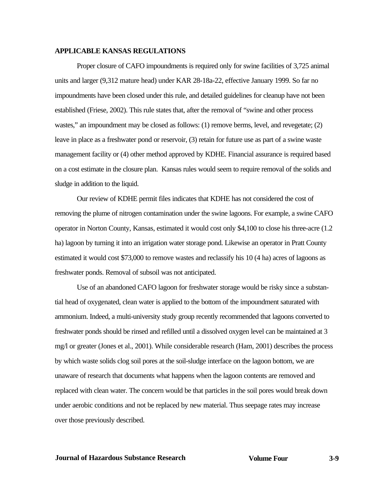#### **APPLICABLE KANSAS REGULATIONS**

Proper closure of CAFO impoundments is required only for swine facilities of 3,725 animal units and larger (9,312 mature head) under KAR 28-18a-22, effective January 1999. So far no impoundments have been closed under this rule, and detailed guidelines for cleanup have not been established (Friese, 2002). This rule states that, after the removal of "swine and other process wastes," an impoundment may be closed as follows: (1) remove berms, level, and revegetate; (2) leave in place as a freshwater pond or reservoir, (3) retain for future use as part of a swine waste management facility or (4) other method approved by KDHE. Financial assurance is required based on a cost estimate in the closure plan. Kansas rules would seem to require removal of the solids and sludge in addition to the liquid.

Our review of KDHE permit files indicates that KDHE has not considered the cost of removing the plume of nitrogen contamination under the swine lagoons. For example, a swine CAFO operator in Norton County, Kansas, estimated it would cost only \$4,100 to close his three-acre (1.2 ha) lagoon by turning it into an irrigation water storage pond. Likewise an operator in Pratt County estimated it would cost \$73,000 to remove wastes and reclassify his 10 (4 ha) acres of lagoons as freshwater ponds. Removal of subsoil was not anticipated.

Use of an abandoned CAFO lagoon for freshwater storage would be risky since a substantial head of oxygenated, clean water is applied to the bottom of the impoundment saturated with ammonium. Indeed, a multi-university study group recently recommended that lagoons converted to freshwater ponds should be rinsed and refilled until a dissolved oxygen level can be maintained at 3 mg/l or greater (Jones et al., 2001). While considerable research (Ham, 2001) describes the process by which waste solids clog soil pores at the soil-sludge interface on the lagoon bottom, we are unaware of research that documents what happens when the lagoon contents are removed and replaced with clean water. The concern would be that particles in the soil pores would break down under aerobic conditions and not be replaced by new material. Thus seepage rates may increase over those previously described.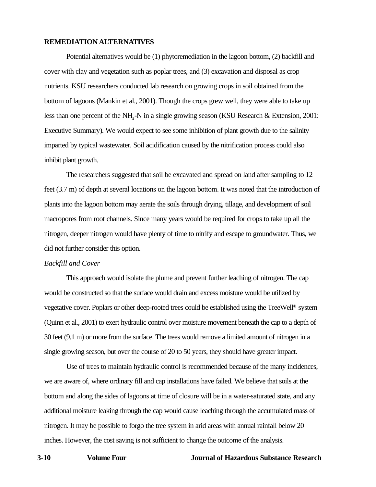#### **REMEDIATION ALTERNATIVES**

Potential alternatives would be (1) phytoremediation in the lagoon bottom, (2) backfill and cover with clay and vegetation such as poplar trees, and (3) excavation and disposal as crop nutrients. KSU researchers conducted lab research on growing crops in soil obtained from the bottom of lagoons (Mankin et al., 2001). Though the crops grew well, they were able to take up less than one percent of the NH<sub>4</sub>-N in a single growing season (KSU Research  $\&$  Extension, 2001: Executive Summary). We would expect to see some inhibition of plant growth due to the salinity imparted by typical wastewater. Soil acidification caused by the nitrification process could also inhibit plant growth.

The researchers suggested that soil be excavated and spread on land after sampling to 12 feet (3.7 m) of depth at several locations on the lagoon bottom. It was noted that the introduction of plants into the lagoon bottom may aerate the soils through drying, tillage, and development of soil macropores from root channels. Since many years would be required for crops to take up all the nitrogen, deeper nitrogen would have plenty of time to nitrify and escape to groundwater. Thus, we did not further consider this option.

#### *Backfill and Cover*

This approach would isolate the plume and prevent further leaching of nitrogen. The cap would be constructed so that the surface would drain and excess moisture would be utilized by vegetative cover. Poplars or other deep-rooted trees could be established using the TreeWell® system (Quinn et al., 2001) to exert hydraulic control over moisture movement beneath the cap to a depth of 30 feet (9.1 m) or more from the surface. The trees would remove a limited amount of nitrogen in a single growing season, but over the course of 20 to 50 years, they should have greater impact.

Use of trees to maintain hydraulic control is recommended because of the many incidences, we are aware of, where ordinary fill and cap installations have failed. We believe that soils at the bottom and along the sides of lagoons at time of closure will be in a water-saturated state, and any additional moisture leaking through the cap would cause leaching through the accumulated mass of nitrogen. It may be possible to forgo the tree system in arid areas with annual rainfall below 20 inches. However, the cost saving is not sufficient to change the outcome of the analysis.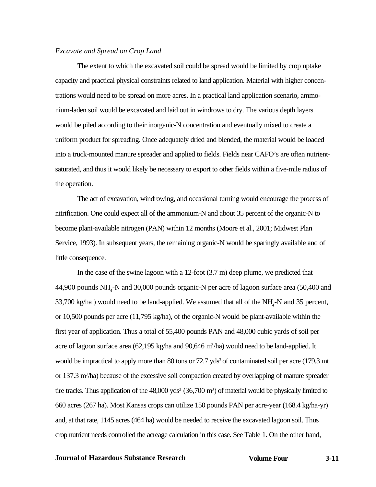#### *Excavate and Spread on Crop Land*

The extent to which the excavated soil could be spread would be limited by crop uptake capacity and practical physical constraints related to land application. Material with higher concentrations would need to be spread on more acres. In a practical land application scenario, ammonium-laden soil would be excavated and laid out in windrows to dry. The various depth layers would be piled according to their inorganic-N concentration and eventually mixed to create a uniform product for spreading. Once adequately dried and blended, the material would be loaded into a truck-mounted manure spreader and applied to fields. Fields near CAFO's are often nutrientsaturated, and thus it would likely be necessary to export to other fields within a five-mile radius of the operation.

The act of excavation, windrowing, and occasional turning would encourage the process of nitrification. One could expect all of the ammonium-N and about 35 percent of the organic-N to become plant-available nitrogen (PAN) within 12 months (Moore et al., 2001; Midwest Plan Service, 1993). In subsequent years, the remaining organic-N would be sparingly available and of little consequence.

In the case of the swine lagoon with a 12-foot (3.7 m) deep plume, we predicted that 44,900 pounds NH<sub>4</sub>-N and 30,000 pounds organic-N per acre of lagoon surface area (50,400 and 33,700 kg/ha) would need to be land-applied. We assumed that all of the  $NH<sub>4</sub>$ -N and 35 percent, or 10,500 pounds per acre (11,795 kg/ha), of the organic-N would be plant-available within the first year of application. Thus a total of 55,400 pounds PAN and 48,000 cubic yards of soil per acre of lagoon surface area  $(62,195 \text{ kg/ha}$  and  $90,646 \text{ m}^3/\text{ha})$  would need to be land-applied. It would be impractical to apply more than 80 tons or 72.7 yds<sup>3</sup> of contaminated soil per acre (179.3 mt) or 137.3 m<sup>3</sup>/ha) because of the excessive soil compaction created by overlapping of manure spreader tire tracks. Thus application of the  $48,000$  yds<sup>3</sup> (36,700 m<sup>3</sup>) of material would be physically limited to 660 acres (267 ha). Most Kansas crops can utilize 150 pounds PAN per acre-year (168.4 kg/ha-yr) and, at that rate, 1145 acres (464 ha) would be needed to receive the excavated lagoon soil. Thus crop nutrient needs controlled the acreage calculation in this case. See Table 1. On the other hand,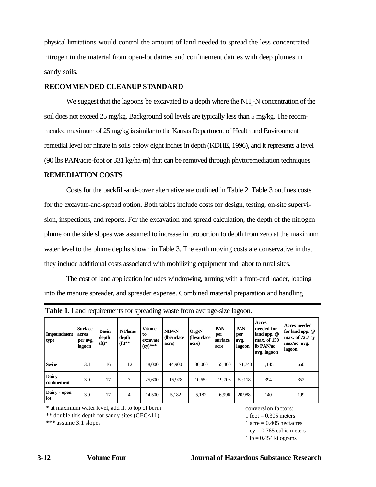physical limitations would control the amount of land needed to spread the less concentrated nitrogen in the material from open-lot dairies and confinement dairies with deep plumes in sandy soils.

#### **RECOMMENDED CLEANUP STANDARD**

We suggest that the lagoons be excavated to a depth where the  $NH<sub>4</sub>$ -N concentration of the soil does not exceed 25 mg/kg. Background soil levels are typically less than 5 mg/kg. The recommended maximum of 25 mg/kg is similar to the Kansas Department of Health and Environment remedial level for nitrate in soils below eight inches in depth (KDHE, 1996), and it represents a level (90 lbs PAN/acre-foot or 331 kg/ha-m) that can be removed through phytoremediation techniques.

#### **REMEDIATION COSTS**

Costs for the backfill-and-cover alternative are outlined in Table 2. Table 3 outlines costs for the excavate-and-spread option. Both tables include costs for design, testing, on-site supervision, inspections, and reports. For the excavation and spread calculation, the depth of the nitrogen plume on the side slopes was assumed to increase in proportion to depth from zero at the maximum water level to the plume depths shown in Table 3. The earth moving costs are conservative in that they include additional costs associated with mobilizing equipment and labor to rural sites.

The cost of land application includes windrowing, turning with a front-end loader, loading into the manure spreader, and spreader expense. Combined material preparation and handling

| <b>Impoundment</b><br>type  | <b>Surface</b><br>acres<br>per avg.<br>lagoon | <b>Basin</b><br>depth<br>$({\bf ft})^*$ | N Plume<br>depth<br>$({\bf ft})^{**}$ | <b>Volume</b><br>to<br>excavate<br>$(cy)$ *** | NH <sub>4</sub> N<br>(lb/surface)<br>acre) | Org-N<br>(lb/surface)<br>acre) | PAN<br>per<br>surface<br>acre | PAN<br>per<br>avg.<br>lagoon | Acres<br>needed for<br>land app. $@$<br>max. of 150<br><b>lb</b> PAN/ac<br>avg. lagoon | <b>Acres needed</b><br>for land app. @<br>max. of 72.7 cv<br>max/ac avg.<br>lagoon |
|-----------------------------|-----------------------------------------------|-----------------------------------------|---------------------------------------|-----------------------------------------------|--------------------------------------------|--------------------------------|-------------------------------|------------------------------|----------------------------------------------------------------------------------------|------------------------------------------------------------------------------------|
| <b>Swine</b>                | 3.1                                           | 16                                      | 12                                    | 48,000                                        | 44.900                                     | 30,000                         | 55.400                        | 171.740                      | 1,145                                                                                  | 660                                                                                |
| <b>Dairy</b><br>confinement | 3.0                                           | 17                                      | 7                                     | 25,600                                        | 15,978                                     | 10,652                         | 19,706                        | 59,118                       | 394                                                                                    | 352                                                                                |
| Dairy - open<br>lot         | 3.0                                           | 17                                      | 4                                     | 14,500                                        | 5,182                                      | 5,182                          | 6.996                         | 20.988                       | 140                                                                                    | 199                                                                                |

**Table 1.** Land requirements for spreading waste from average-size lagoon.

\* at maximum water level, add ft. to top of berm conversion factors:

\*\* double this depth for sandy sites  $(CEC < 11)$  1 foot = 0.305 meters

\*\*\* assume 3:1 slopes  $1 \text{ acres}$  1 acre = 0.405 hectacres  $1 \text{ cy} = 0.765 \text{ cubic meters}$  $1 lb = 0.454$  kilograms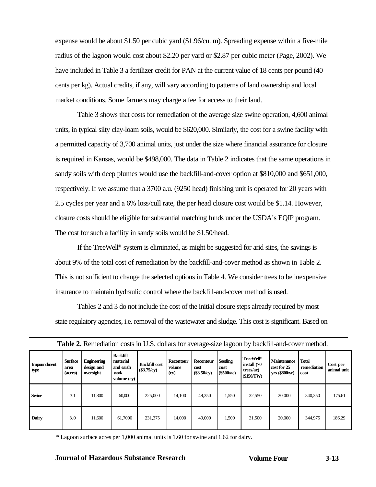expense would be about \$1.50 per cubic yard (\$1.96/cu. m). Spreading expense within a five-mile radius of the lagoon would cost about \$2.20 per yard or \$2.87 per cubic meter (Page, 2002). We have included in Table 3 a fertilizer credit for PAN at the current value of 18 cents per pound (40 cents per kg). Actual credits, if any, will vary according to patterns of land ownership and local market conditions. Some farmers may charge a fee for access to their land.

Table 3 shows that costs for remediation of the average size swine operation, 4,600 animal units, in typical silty clay-loam soils, would be \$620,000. Similarly, the cost for a swine facility with a permitted capacity of 3,700 animal units, just under the size where financial assurance for closure is required in Kansas, would be \$498,000. The data in Table 2 indicates that the same operations in sandy soils with deep plumes would use the backfill-and-cover option at \$810,000 and \$651,000, respectively. If we assume that a 3700 a.u. (9250 head) finishing unit is operated for 20 years with 2.5 cycles per year and a 6% loss/cull rate, the per head closure cost would be \$1.14. However, closure costs should be eligible for substantial matching funds under the USDA's EQIP program. The cost for such a facility in sandy soils would be \$1.50/head.

If the TreeWell® system is eliminated, as might be suggested for arid sites, the savings is about 9% of the total cost of remediation by the backfill-and-cover method as shown in Table 2. This is not sufficient to change the selected options in Table 4. We consider trees to be inexpensive insurance to maintain hydraulic control where the backfill-and-cover method is used.

Tables 2 and 3 do not include the cost of the initial closure steps already required by most state regulatory agencies, i.e. removal of the wastewater and sludge. This cost is significant. Based on

| <b>Impoundment</b><br>type | Surface<br>area<br>(acres) | <b>Engineering</b><br>design and<br>oversight | Backfill<br>material<br>and earth<br>work<br>volume (cv) | <b>Backfill cost</b><br>\$3.75/cy) | <b>Recontour</b><br>volume<br>$\left(\mathbf{cy}\right)$ | Recontour<br>cost<br>(\$3.50/cy) | Seeding<br>cost<br>(\$500/ac) | <b>TreeWell®</b><br>install (70<br>trees/ac)<br>\$150/TW | <b>Table 20 INTHNESTED FOR THE U.S. GOING</b> FOR AVERAGE SIZE RIGGOIL OF OREKLILL AND COVER HIGHOG.<br>Maintenance<br>cost for 25<br>yrs (\$800/yr) | <b>Total</b><br>remediation<br>cost | Cost per<br>animal unit |
|----------------------------|----------------------------|-----------------------------------------------|----------------------------------------------------------|------------------------------------|----------------------------------------------------------|----------------------------------|-------------------------------|----------------------------------------------------------|------------------------------------------------------------------------------------------------------------------------------------------------------|-------------------------------------|-------------------------|
| <b>Swine</b>               | 3.1                        | 11.800                                        | 60,000                                                   | 225,000                            | 14,100                                                   | 49,350                           | 1,550                         | 32,550                                                   | 20,000                                                                                                                                               | 340,250                             | 175.61                  |
| Dairy                      | 3.0                        | 11.600                                        | 61,7000                                                  | 231,375                            | 14,000                                                   | 49,000                           | 1,500                         | 31,500                                                   | 20,000                                                                                                                                               | 344,975                             | 186.29                  |

**Table 2.** Remediation costs in U.S. dollars for average-size lagoon by backfill-and-cover method.

\* Lagoon surface acres per 1,000 animal units is 1.60 for swine and 1.62 for dairy.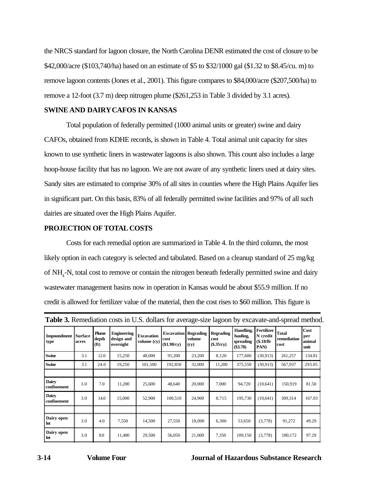the NRCS standard for lagoon closure, the North Carolina DENR estimated the cost of closure to be \$42,000/acre (\$103,740/ha) based on an estimate of \$5 to \$32/1000 gal (\$1.32 to \$8.45/cu. m) to remove lagoon contents (Jones et al., 2001). This figure compares to \$84,000/acre (\$207,500/ha) to remove a 12-foot (3.7 m) deep nitrogen plume (\$261,253 in Table 3 divided by 3.1 acres).

# **SWINE AND DAIRY CAFOS IN KANSAS**

Total population of federally permitted (1000 animal units or greater) swine and dairy CAFOs, obtained from KDHE records, is shown in Table 4. Total animal unit capacity for sites known to use synthetic liners in wastewater lagoons is also shown. This count also includes a large hoop-house facility that has no lagoon. We are not aware of any synthetic liners used at dairy sites. Sandy sites are estimated to comprise 30% of all sites in counties where the High Plains Aquifer lies in significant part. On this basis, 83% of all federally permitted swine facilities and 97% of all such dairies are situated over the High Plains Aquifer.

# **PROJECTION OF TOTAL COSTS**

Costs for each remedial option are summarized in Table 4. In the third column, the most likely option in each category is selected and tabulated. Based on a cleanup standard of 25 mg/kg of NH4-N, total cost to remove or contain the nitrogen beneath federally permitted swine and dairy wastewater management basins now in operation in Kansas would be about \$55.9 million. If no credit is allowed for fertilizer value of the material, then the cost rises to \$60 million. This figure is

| <b>Table 5.</b> INCHREGIQUE COSIS III O.D. GOILLES TOT AVERAGE SIZE REGULT BY CACAVAIL AND SPICIO HIGHOG |       |                                            |                                               |                                  |                                         |                                    |                                          |                                                  |                                            |                                |                               |
|----------------------------------------------------------------------------------------------------------|-------|--------------------------------------------|-----------------------------------------------|----------------------------------|-----------------------------------------|------------------------------------|------------------------------------------|--------------------------------------------------|--------------------------------------------|--------------------------------|-------------------------------|
| <b>Impoundment Surface</b><br>type                                                                       | acres | <b>Plume</b><br>depth<br>(f <sub>t</sub> ) | <b>Engineering</b><br>design and<br>oversight | <b>Excavation</b><br>volume (cy) | <b>Excavation</b><br>cost<br>\$1.90/cv) | <b>Regrading</b><br>volume<br>(cy) | <b>Regrading</b><br>cost<br>$(\$.35/cy)$ | Handling,<br>hauling,<br>spreading<br>$(\$3.70)$ | Fertilizer<br>N credit<br>\$.18/lb<br>PAN) | Total<br>remediation<br>  cost | Cost<br>per<br>animal<br>unit |
| Swine                                                                                                    | 3.1   | 12.0                                       | 15,250                                        | 48,000                           | 91,200                                  | 23,200                             | 8,120                                    | 177,600                                          | (30.913)                                   | 261,257                        | 134.81                        |
| Swine                                                                                                    | 3.1   | 24.0                                       | 19,250                                        | 101,500                          | 192,850                                 | 32,000                             | 11,200                                   | 375,550                                          | (30,913)                                   | 567,937                        | 293.05                        |
|                                                                                                          |       |                                            |                                               |                                  |                                         |                                    |                                          |                                                  |                                            |                                |                               |
| Dairy<br>confinement                                                                                     | 3.0   | 7.0                                        | 11,200                                        | 25,600                           | 48,640                                  | 20,000                             | 7,000                                    | 94,720                                           | (10,641)                                   | 150,919                        | 81.50                         |
| Dairy<br>confinement                                                                                     | 3.0   | 14.0                                       | 15,000                                        | 52,900                           | 100,510                                 | 24,900                             | 8,715                                    | 195,730                                          | (10,641)                                   | 309,314                        | 167.03                        |
|                                                                                                          |       |                                            |                                               |                                  |                                         |                                    |                                          |                                                  |                                            |                                |                               |
| Dairy open<br>lot                                                                                        | 3.0   | 4.0                                        | 7,550                                         | 14,500                           | 27,550                                  | 18,000                             | 6,300                                    | 53,650                                           | (3,778)                                    | 91,272                         | 49.29                         |
| Dairy open<br>lot                                                                                        | 3.0   | 8.0                                        | 11,400                                        | 29,500                           | 56,050                                  | 21,000                             | 7,350                                    | 109,150                                          | (3,778)                                    | 180,172                        | 97.29                         |

|  |  |  |  |  |  | Table 3. Remediation costs in U.S. dollars for average-size lagoon by excavate-and-spread method. |
|--|--|--|--|--|--|---------------------------------------------------------------------------------------------------|
|--|--|--|--|--|--|---------------------------------------------------------------------------------------------------|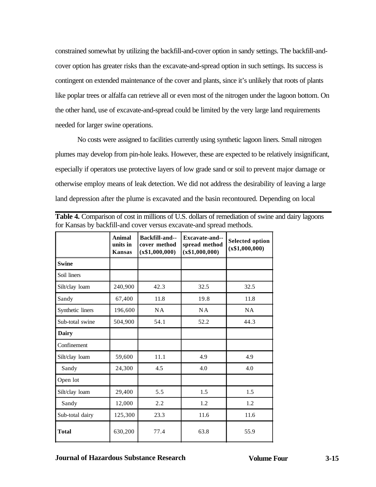constrained somewhat by utilizing the backfill-and-cover option in sandy settings. The backfill-andcover option has greater risks than the excavate-and-spread option in such settings. Its success is contingent on extended maintenance of the cover and plants, since it's unlikely that roots of plants like poplar trees or alfalfa can retrieve all or even most of the nitrogen under the lagoon bottom. On the other hand, use of excavate-and-spread could be limited by the very large land requirements needed for larger swine operations.

No costs were assigned to facilities currently using synthetic lagoon liners. Small nitrogen plumes may develop from pin-hole leaks. However, these are expected to be relatively insignificant, especially if operators use protective layers of low grade sand or soil to prevent major damage or otherwise employ means of leak detection. We did not address the desirability of leaving a large land depression after the plume is excavated and the basin recontoured. Depending on local

|                  | Animal<br>units in<br><b>Kansas</b> | Backfill-and--<br>cover method<br>(x\$1,000,000) | Excavate-and--<br>spread method<br>(x\$1,000,000) | <b>Selected option</b><br>(x\$1,000,000) |
|------------------|-------------------------------------|--------------------------------------------------|---------------------------------------------------|------------------------------------------|
| <b>Swine</b>     |                                     |                                                  |                                                   |                                          |
| Soil liners      |                                     |                                                  |                                                   |                                          |
| Silt/clay loam   | 240,900                             | 42.3                                             | 32.5                                              | 32.5                                     |
| Sandy            | 67,400                              | 11.8                                             | 19.8                                              | 11.8                                     |
| Synthetic liners | 196,600                             | NA                                               | NA                                                | <b>NA</b>                                |
| Sub-total swine  | 504,900                             | 54.1                                             | 52.2                                              | 44.3                                     |
| Dairy            |                                     |                                                  |                                                   |                                          |
| Confinement      |                                     |                                                  |                                                   |                                          |
| Silt/clay loam   | 59,600                              | 11.1                                             | 4.9                                               | 4.9                                      |
| Sandy            | 24,300                              | 4.5                                              | 4.0                                               | 4.0                                      |
| Open lot         |                                     |                                                  |                                                   |                                          |
| Silt/clay loam   | 29,400                              | 5.5                                              | 1.5                                               | 1.5                                      |
| Sandy            | 12,000                              | 2.2                                              | 1.2                                               | 1.2                                      |
| Sub-total dairy  | 125,300                             | 23.3                                             | 11.6                                              | 11.6                                     |
| <b>Total</b>     | 630,200                             | 77.4                                             | 63.8                                              | 55.9                                     |

**Table 4.** Comparison of cost in millions of U.S. dollars of remediation of swine and dairy lagoons for Kansas by backfill-and cover versus excavate-and spread methods.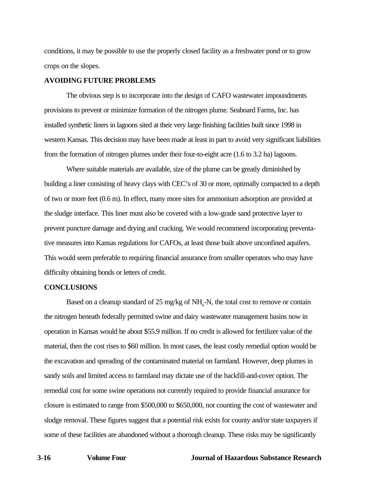conditions, it may be possible to use the properly closed facility as a freshwater pond or to grow crops on the slopes.

#### **AVOIDING FUTURE PROBLEMS**

The obvious step is to incorporate into the design of CAFO wastewater impoundments provisions to prevent or minimize formation of the nitrogen plume. Seaboard Farms, Inc. has installed synthetic liners in lagoons sited at their very large finishing facilities built since 1998 in western Kansas. This decision may have been made at least in part to avoid very significant liabilities from the formation of nitrogen plumes under their four-to-eight acre (1.6 to 3.2 ha) lagoons.

Where suitable materials are available, size of the plume can be greatly diminished by building a liner consisting of heavy clays with CEC's of 30 or more, optimally compacted to a depth of two or more feet (0.6 m). In effect, many more sites for ammonium adsorption are provided at the sludge interface. This liner must also be covered with a low-grade sand protective layer to prevent puncture damage and drying and cracking. We would recommend incorporating preventative measures into Kansas regulations for CAFOs, at least those built above unconfined aquifers. This would seem preferable to requiring financial assurance from smaller operators who may have difficulty obtaining bonds or letters of credit.

#### **CONCLUSIONS**

Based on a cleanup standard of  $25 \text{ mg/kg}$  of  $NH_4$ -N, the total cost to remove or contain the nitrogen beneath federally permitted swine and dairy wastewater management basins now in operation in Kansas would be about \$55.9 million. If no credit is allowed for fertilizer value of the material, then the cost rises to \$60 million. In most cases, the least costly remedial option would be the excavation and spreading of the contaminated material on farmland. However, deep plumes in sandy soils and limited access to farmland may dictate use of the backfill-and-cover option. The remedial cost for some swine operations not currently required to provide financial assurance for closure is estimated to range from \$500,000 to \$650,000, not counting the cost of wastewater and sludge removal. These figures suggest that a potential risk exists for county and/or state taxpayers if some of these facilities are abandoned without a thorough cleanup. These risks may be significantly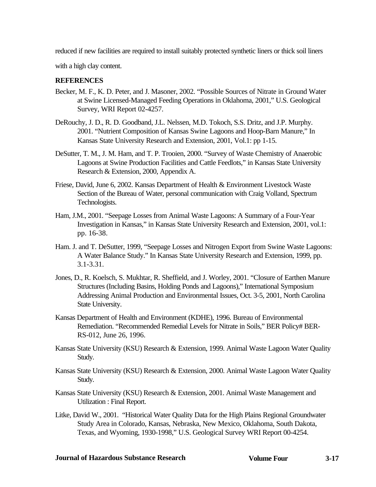reduced if new facilities are required to install suitably protected synthetic liners or thick soil liners

with a high clay content.

# **REFERENCES**

- Becker, M. F., K. D. Peter, and J. Masoner, 2002. "Possible Sources of Nitrate in Ground Water at Swine Licensed-Managed Feeding Operations in Oklahoma, 2001," U.S. Geological Survey, WRI Report 02-4257.
- DeRouchy, J. D., R. D. Goodband, J.L. Nelssen, M.D. Tokoch, S.S. Dritz, and J.P. Murphy. 2001. "Nutrient Composition of Kansas Swine Lagoons and Hoop-Barn Manure," In Kansas State University Research and Extension, 2001, Vol.1: pp 1-15.
- DeSutter, T. M., J. M. Ham, and T. P. Trooien, 2000. "Survey of Waste Chemistry of Anaerobic Lagoons at Swine Production Facilities and Cattle Feedlots," in Kansas State University Research & Extension, 2000, Appendix A.
- Friese, David, June 6, 2002. Kansas Department of Health & Environment Livestock Waste Section of the Bureau of Water, personal communication with Craig Volland, Spectrum Technologists.
- Ham, J.M., 2001. "Seepage Losses from Animal Waste Lagoons: A Summary of a Four-Year Investigation in Kansas," in Kansas State University Research and Extension, 2001, vol.1: pp. 16-38.
- Ham. J. and T. DeSutter, 1999, "Seepage Losses and Nitrogen Export from Swine Waste Lagoons: A Water Balance Study." In Kansas State University Research and Extension, 1999, pp. 3.1-3.31.
- Jones, D., R. Koelsch, S. Mukhtar, R. Sheffield, and J. Worley, 2001. "Closure of Earthen Manure Structures (Including Basins, Holding Ponds and Lagoons)," International Symposium Addressing Animal Production and Environmental Issues, Oct. 3-5, 2001, North Carolina State University.
- Kansas Department of Health and Environment (KDHE), 1996. Bureau of Environmental Remediation. "Recommended Remedial Levels for Nitrate in Soils," BER Policy# BER-RS-012, June 26, 1996.
- Kansas State University (KSU) Research & Extension, 1999. Animal Waste Lagoon Water Quality Study.
- Kansas State University (KSU) Research & Extension, 2000. Animal Waste Lagoon Water Quality Study.
- Kansas State University (KSU) Research & Extension, 2001. Animal Waste Management and Utilization : Final Report.
- Litke, David W., 2001. "Historical Water Quality Data for the High Plains Regional Groundwater Study Area in Colorado, Kansas, Nebraska, New Mexico, Oklahoma, South Dakota, Texas, and Wyoming, 1930-1998," U.S. Geological Survey WRI Report 00-4254.